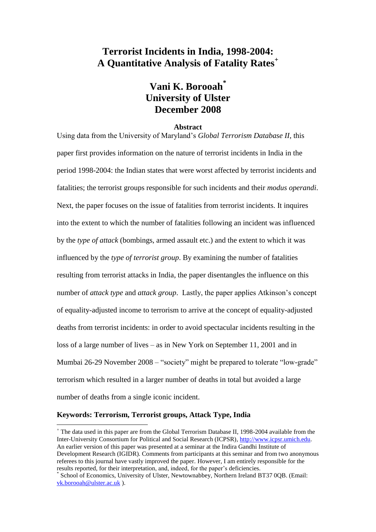# **Terrorist Incidents in India, 1998-2004: A Quantitative Analysis of Fatality Rates<sup>+</sup>**

# **Vani K. Borooah\* University of Ulster December 2008**

#### **Abstract**

Using data from the University of Maryland's *Global Terrorism Database II*, this paper first provides information on the nature of terrorist incidents in India in the period 1998-2004: the Indian states that were worst affected by terrorist incidents and fatalities; the terrorist groups responsible for such incidents and their *modus operandi*. Next, the paper focuses on the issue of fatalities from terrorist incidents. It inquires into the extent to which the number of fatalities following an incident was influenced by the *type of attack* (bombings, armed assault etc.) and the extent to which it was influenced by the *type of terrorist group*. By examining the number of fatalities resulting from terrorist attacks in India, the paper disentangles the influence on this number of *attack type* and *attack group*. Lastly, the paper applies Atkinson's concept of equality-adjusted income to terrorism to arrive at the concept of equality-adjusted deaths from terrorist incidents: in order to avoid spectacular incidents resulting in the loss of a large number of lives – as in New York on September 11, 2001 and in Mumbai 26-29 November 2008 – "society" might be prepared to tolerate "low-grade" terrorism which resulted in a larger number of deaths in total but avoided a large number of deaths from a single iconic incident.

### **Keywords: Terrorism, Terrorist groups, Attack Type, India**

<sup>+</sup> The data used in this paper are from the Global Terrorism Database II, 1998-2004 available from the Inter-University Consortium for Political and Social Research (ICPSR)[, http://www.icpsr.umich.edu.](http://www.icpsr.umich.edu/) An earlier version of this paper was presented at a seminar at the Indira Gandhi Institute of Development Research (IGIDR). Comments from participants at this seminar and from two anonymous referees to this journal have vastly improved the paper. However, I am entirely responsible for the results reported, for their interpretation, and, indeed, for the paper's deficiencies.

<sup>\*</sup> School of Economics, University of Ulster, Newtownabbey, Northern Ireland BT37 0OB. (Email: [vk.borooah@ulster.ac.uk](mailto:vk.borooah@ulster.ac.uk) ).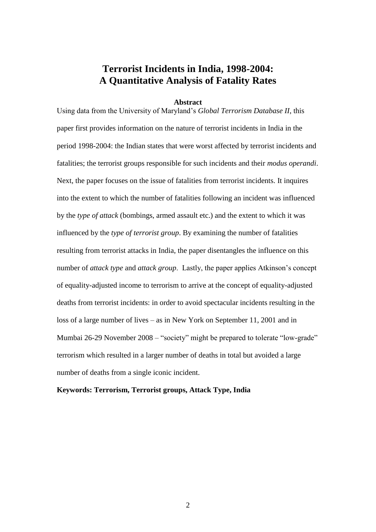# **Terrorist Incidents in India, 1998-2004: A Quantitative Analysis of Fatality Rates**

#### **Abstract**

Using data from the University of Maryland's *Global Terrorism Database II*, this paper first provides information on the nature of terrorist incidents in India in the period 1998-2004: the Indian states that were worst affected by terrorist incidents and fatalities; the terrorist groups responsible for such incidents and their *modus operandi*. Next, the paper focuses on the issue of fatalities from terrorist incidents. It inquires into the extent to which the number of fatalities following an incident was influenced by the *type of attack* (bombings, armed assault etc.) and the extent to which it was influenced by the *type of terrorist group*. By examining the number of fatalities resulting from terrorist attacks in India, the paper disentangles the influence on this number of *attack type* and *attack group*. Lastly, the paper applies Atkinson's concept of equality-adjusted income to terrorism to arrive at the concept of equality-adjusted deaths from terrorist incidents: in order to avoid spectacular incidents resulting in the loss of a large number of lives – as in New York on September 11, 2001 and in Mumbai 26-29 November 2008 – "society" might be prepared to tolerate "low-grade" terrorism which resulted in a larger number of deaths in total but avoided a large number of deaths from a single iconic incident.

### **Keywords: Terrorism, Terrorist groups, Attack Type, India**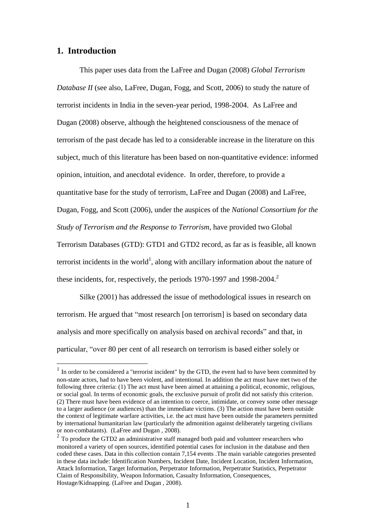# **1. Introduction**

<u>.</u>

This paper uses data from the LaFree and Dugan (2008) *Global Terrorism Database II* (see also, LaFree, Dugan, Fogg, and Scott, 2006) to study the nature of terrorist incidents in India in the seven-year period, 1998-2004. As LaFree and Dugan (2008) observe, although the heightened consciousness of the menace of terrorism of the past decade has led to a considerable increase in the literature on this subject, much of this literature has been based on non-quantitative evidence: informed opinion, intuition, and anecdotal evidence. In order, therefore, to provide a quantitative base for the study of terrorism, LaFree and Dugan (2008) and LaFree, Dugan, Fogg, and Scott (2006), under the auspices of the *National Consortium for the Study of Terrorism and the Response to Terrorism*, have provided two Global Terrorism Databases (GTD): GTD1 and GTD2 record, as far as is feasible, all known terrorist incidents in the world<sup>1</sup>, along with ancillary information about the nature of these incidents, for, respectively, the periods 1970-1997 and 1998-2004.<sup>2</sup>

Silke (2001) has addressed the issue of methodological issues in research on terrorism. He argued that "most research [on terrorism] is based on secondary data analysis and more specifically on analysis based on archival records" and that, in particular, "over 80 per cent of all research on terrorism is based either solely or

<sup>&</sup>lt;sup>1</sup> In order to be considered a "terrorist incident" by the GTD, the event had to have been committed by non-state actors, had to have been violent, and intentional. In addition the act must have met two of the following three criteria: (1) The act must have been aimed at attaining a political, economic, religious, or social goal. In terms of economic goals, the exclusive pursuit of profit did not satisfy this criterion. (2) There must have been evidence of an intention to coerce, intimidate, or convey some other message to a larger audience (or audiences) than the immediate victims. (3) The action must have been outside the context of legitimate warfare activities, i.e. the act must have been outside the parameters permitted by international humanitarian law (particularly the admonition against deliberately targeting civilians or non-combatants). (LaFree and Dugan , 2008).

 $2^2$  To produce the GTD2 an administrative staff managed both paid and volunteer researchers who monitored a variety of open sources, identified potential cases for inclusion in the database and then coded these cases. Data in this collection contain 7,154 events .The main variable categories presented in these data include: Identification Numbers, Incident Date, Incident Location, Incident Information, Attack Information, Target Information, Perpetrator Information, Perpetrator Statistics, Perpetrator Claim of Responsibility, Weapon Information, Casualty Information, Consequences, Hostage/Kidnapping. (LaFree and Dugan , 2008).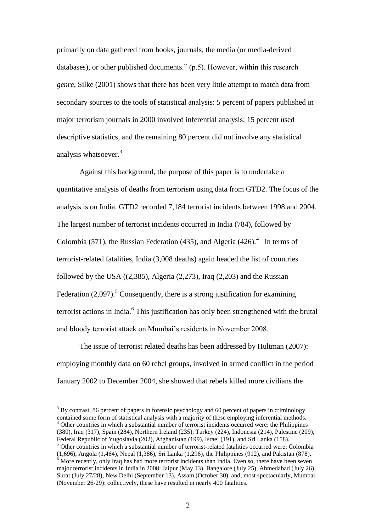primarily on data gathered from books, journals, the media (or media-derived databases), or other published documents." (p.5). However, within this research *genre*, Silke (2001) shows that there has been very little attempt to match data from secondary sources to the tools of statistical analysis: 5 percent of papers published in major terrorism journals in 2000 involved inferential analysis; 15 percent used descriptive statistics, and the remaining 80 percent did not involve any statistical analysis whatsoever.<sup>3</sup>

Against this background, the purpose of this paper is to undertake a quantitative analysis of deaths from terrorism using data from GTD2. The focus of the analysis is on India. GTD2 recorded 7,184 terrorist incidents between 1998 and 2004. The largest number of terrorist incidents occurred in India (784), followed by Colombia (571), the Russian Federation (435), and Algeria (426).<sup>4</sup> In terms of terrorist-related fatalities, India (3,008 deaths) again headed the list of countries followed by the USA  $((2,385),$  Algeria  $(2,273)$ , Iraq  $(2,203)$  and the Russian Federation (2,097).<sup>5</sup> Consequently, there is a strong justification for examining terrorist actions in India.<sup>6</sup> This justification has only been strengthened with the brutal and bloody terrorist attack on Mumbai's residents in November 2008.

The issue of terrorist related deaths has been addressed by Hultman (2007): employing monthly data on 60 rebel groups, involved in armed conflict in the period January 2002 to December 2004, she showed that rebels killed more civilians the

 $3$  By contrast, 86 percent of papers in forensic psychology and 60 percent of papers in criminology contained some form of statistical analysis with a majority of these employing inferential methods. <sup>4</sup> Other countries in which a substantial number of terrorist incidents occurred were: the Philippines (380), Iraq (317), Spain (284), Northern Ireland (235), Turkey (224), Indonesia (214), Palestine (209), Federal Republic of Yugoslavia (202), Afghanistan (199), Israel (191), and Sri Lanka (158).

<sup>5</sup> Other countries in which a substantial number of terrorist-related fatalities occurred were: Colombia

<u>.</u>

<sup>(1,696),</sup> Angola (1,464), Nepal (1,386), Sri Lanka (1,296), the Philippines (912), and Pakistan (878).  $6 \text{ More recently, only Iraq has had more terrorist incidents than India. Even so, there have been seven$ major terrorist incidents in India in 2008: Jaipur (May 13), Bangalore (July 25), Ahmedabad (July 26), Surat (July 27/28), New Delhi (September 13), Assam (October 30), and, most spectacularly, Mumbai (November 26-29): collectively, these have resulted in nearly 400 fatalities.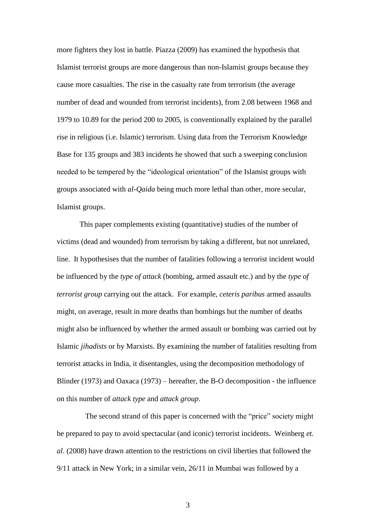more fighters they lost in battle. Piazza (2009) has examined the hypothesis that Islamist terrorist groups are more dangerous than non-Islamist groups because they cause more casualties. The rise in the casualty rate from terrorism (the average number of dead and wounded from terrorist incidents), from 2.08 between 1968 and 1979 to 10.89 for the period 200 to 2005, is conventionally explained by the parallel rise in religious (i.e. Islamic) terrorism. Using data from the Terrorism Knowledge Base for 135 groups and 383 incidents he showed that such a sweeping conclusion needed to be tempered by the "ideological orientation" of the Islamist groups with groups associated with *al-Qaida* being much more lethal than other, more secular, Islamist groups.

This paper complements existing (quantitative) studies of the number of victims (dead and wounded) from terrorism by taking a different, but not unrelated, line. It hypothesises that the number of fatalities following a terrorist incident would be influenced by the *type of attack* (bombing, armed assault etc.) and by the *type of terrorist group* carrying out the attack. For example, *ceteris paribus* armed assaults might, on average, result in more deaths than bombings but the number of deaths might also be influenced by whether the armed assault or bombing was carried out by Islamic *jihadists* or by Marxists. By examining the number of fatalities resulting from terrorist attacks in India, it disentangles, using the decomposition methodology of Blinder (1973) and Oaxaca (1973) – hereafter, the B-O decomposition - the influence on this number of *attack type* and *attack group*.

 The second strand of this paper is concerned with the "price" society might be prepared to pay to avoid spectacular (and iconic) terrorist incidents. Weinberg *et. al*. (2008) have drawn attention to the restrictions on civil liberties that followed the 9/11 attack in New York; in a similar vein, 26/11 in Mumbai was followed by a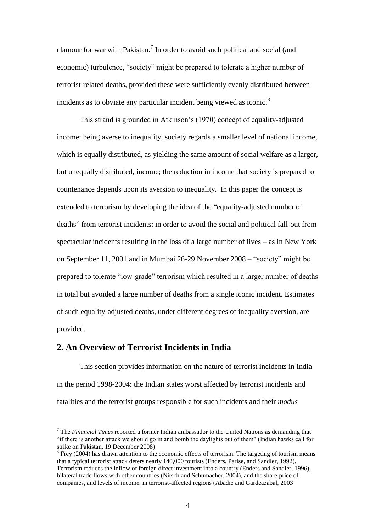clamour for war with Pakistan.<sup>7</sup> In order to avoid such political and social (and economic) turbulence, "society" might be prepared to tolerate a higher number of terrorist-related deaths, provided these were sufficiently evenly distributed between incidents as to obviate any particular incident being viewed as iconic.<sup>8</sup>

This strand is grounded in Atkinson's (1970) concept of equality-adjusted income: being averse to inequality, society regards a smaller level of national income, which is equally distributed, as yielding the same amount of social welfare as a larger, but unequally distributed, income; the reduction in income that society is prepared to countenance depends upon its aversion to inequality. In this paper the concept is extended to terrorism by developing the idea of the "equality-adjusted number of deaths" from terrorist incidents: in order to avoid the social and political fall-out from spectacular incidents resulting in the loss of a large number of lives – as in New York on September 11, 2001 and in Mumbai 26-29 November 2008 – "society" might be prepared to tolerate "low-grade" terrorism which resulted in a larger number of deaths in total but avoided a large number of deaths from a single iconic incident. Estimates of such equality-adjusted deaths, under different degrees of inequality aversion, are provided.

# **2. An Overview of Terrorist Incidents in India**

1

This section provides information on the nature of terrorist incidents in India in the period 1998-2004: the Indian states worst affected by terrorist incidents and fatalities and the terrorist groups responsible for such incidents and their *modus* 

<sup>7</sup> The *Financial Times* reported a former Indian ambassador to the United Nations as demanding that "if there is another attack we should go in and bomb the daylights out of them" (Indian hawks call for strike on Pakistan, 19 December 2008)

 $8$  Frey (2004) has drawn attention to the economic effects of terrorism. The targeting of tourism means that a typical terrorist attack deters nearly 140,000 tourists (Enders, Parise, and Sandler, 1992). Terrorism reduces the inflow of foreign direct investment into a country (Enders and Sandler, 1996), bilateral trade flows with other countries (Nitsch and Schumacher, 2004), and the share price of companies, and levels of income, in terrorist-affected regions (Abadie and Gardeazabal, 2003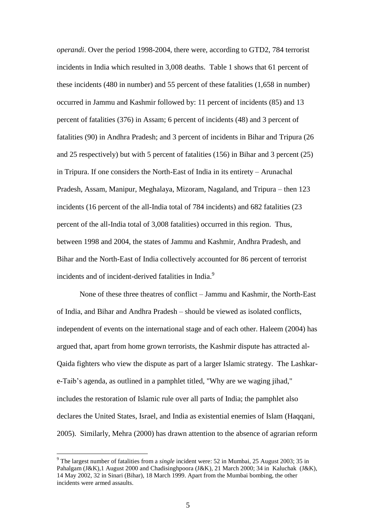*operandi*. Over the period 1998-2004, there were, according to GTD2, 784 terrorist incidents in India which resulted in 3,008 deaths. Table 1 shows that 61 percent of these incidents (480 in number) and 55 percent of these fatalities (1,658 in number) occurred in Jammu and Kashmir followed by: 11 percent of incidents (85) and 13 percent of fatalities (376) in Assam; 6 percent of incidents (48) and 3 percent of fatalities (90) in Andhra Pradesh; and 3 percent of incidents in Bihar and Tripura (26 and 25 respectively) but with 5 percent of fatalities (156) in Bihar and 3 percent (25) in Tripura. If one considers the North-East of India in its entirety – Arunachal Pradesh, Assam, Manipur, Meghalaya, Mizoram, Nagaland, and Tripura – then 123 incidents (16 percent of the all-India total of 784 incidents) and 682 fatalities (23 percent of the all-India total of 3,008 fatalities) occurred in this region. Thus, between 1998 and 2004, the states of Jammu and Kashmir, Andhra Pradesh, and Bihar and the North-East of India collectively accounted for 86 percent of terrorist incidents and of incident-derived fatalities in India.<sup>9</sup>

None of these three theatres of conflict – Jammu and Kashmir, the North-East of India, and Bihar and Andhra Pradesh – should be viewed as isolated conflicts, independent of events on the international stage and of each other. Haleem (2004) has argued that, apart from home grown terrorists, the Kashmir dispute has attracted al-Qaida fighters who view the dispute as part of a larger Islamic strategy. The Lashkare-Taib's agenda, as outlined in a pamphlet titled, "Why are we waging jihad," includes the restoration of Islamic rule over all parts of India; the pamphlet also declares the United States, Israel, and India as existential enemies of Islam (Haqqani, 2005). Similarly, Mehra (2000) has drawn attention to the absence of agrarian reform

<sup>9</sup> The largest number of fatalities from a *single* incident were: 52 in Mumbai, 25 August 2003; 35 in Pahalgam (J&K),1 August 2000 and Chadisinghpoora (J&K), 21 March 2000; 34 in Kaluchak (J&K), 14 May 2002, 32 in Sinari (Bihar), 18 March 1999. Apart from the Mumbai bombing, the other incidents were armed assaults.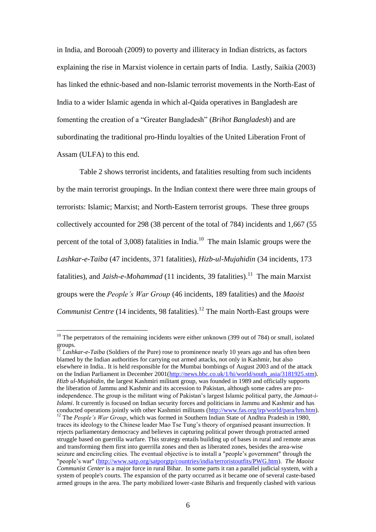in India, and Borooah (2009) to poverty and illiteracy in Indian districts, as factors explaining the rise in Marxist violence in certain parts of India. Lastly, Saikia (2003) has linked the ethnic-based and non-Islamic terrorist movements in the North-East of India to a wider Islamic agenda in which al-Qaida operatives in Bangladesh are fomenting the creation of a "Greater Bangladesh" (*Brihot Bangladesh*) and are subordinating the traditional pro-Hindu loyalties of the United Liberation Front of Assam (ULFA) to this end.

Table 2 shows terrorist incidents, and fatalities resulting from such incidents by the main terrorist groupings. In the Indian context there were three main groups of terrorists: Islamic; Marxist; and North-Eastern terrorist groups. These three groups collectively accounted for 298 (38 percent of the total of 784) incidents and 1,667 (55 percent of the total of  $3.008$ ) fatalities in India.<sup>10</sup> The main Islamic groups were the *Lashkar-e-Taiba* (47 incidents, 371 fatalities), *Hizb-ul-Mujahidin* (34 incidents, 173 fatalities), and *Jaish-e-Mohammad* (11 incidents, 39 fatalities).<sup>11</sup> The main Marxist groups were the *People's War Group* (46 incidents, 189 fatalities) and the *Maoist Communist Centre* (14 incidents, 98 fatalities).<sup>12</sup> The main North-East groups were

<u>.</u>

 $10$  The perpetrators of the remaining incidents were either unknown (399 out of 784) or small, isolated groups.

<sup>&</sup>lt;sup>11</sup> *Lashkar-e-Taiba* (Soldiers of the Pure) rose to prominence nearly 10 years ago and has often been blamed by the Indian authorities for carrying out armed attacks, not only in Kashmir, but also elsewhere in India.. It is held responsible for the Mumbai bombings of August 2003 and of the attack on the Indian Parliament in December 2001[\(http://news.bbc.co.uk/1/hi/world/south\\_asia/3181925.stm\)](http://news.bbc.co.uk/1/hi/world/south_asia/3181925.stm). *Hizb ul-Mujahidin,* the largest Kashmiri militant group, was founded in 1989 and officially supports the liberation of Jammu and Kashmir and its accession to Pakistan, although some cadres are proindependence. The group is the militant wing of Pakistan's largest Islamic political party, the *Jamaat-i-Islami*. It currently is focused on Indian security forces and politicians in Jammu and Kashmir and has conducted operations jointly with other Kashmiri militants  $(http://www.fas.org/irp/world/para/hm.htm)$ . <sup>12</sup> The *People's War Group*, which was formed in Southern Indian State of Andhra Pradesh in 1980, traces its ideology to the Chinese leader Mao Tse Tung's theory of organised peasant insurrection. It rejects parliamentary democracy and believes in capturing political power through protracted armed struggle based on guerrilla warfare. This strategy entails building up of bases in rural and remote areas and transforming them first into guerrilla zones and then as liberated zones, besides the area-wise seizure and encircling cities. The eventual objective is to install a "people's government" through the "people's war" [\(http://www.satp.org/satporgtp/countries/india/terroristoutfits/PWG.htm\)](http://www.satp.org/satporgtp/countries/india/terroristoutfits/PWG.htm). *The Maoist Communist Center* is a major force in rural Bihar. In some parts it ran a parallel judicial system, with a system of people's courts. The expansion of the party occurred as it became one of several caste-based armed groups in the area. The party mobilized lower-caste Biharis and frequently clashed with various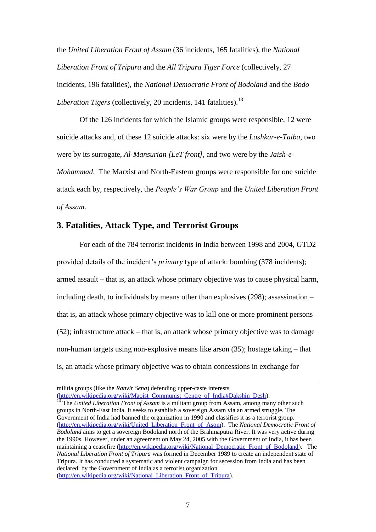the *United Liberation Front of Assam* (36 incidents, 165 fatalities), the *National Liberation Front of Tripura* and the *All Tripura Tiger Force* (collectively, 27 incidents, 196 fatalities), the *National Democratic Front of Bodoland* and the *Bodo Liberation Tigers* (collectively, 20 incidents, 141 fatalities).<sup>13</sup>

Of the 126 incidents for which the Islamic groups were responsible, 12 were suicide attacks and, of these 12 suicide attacks: six were by the *Lashkar-e-Taiba*, two were by its surrogate, *Al-Mansurian [LeT front]*, and two were by the *Jaish-e-*

*Mohammad*. The Marxist and North-Eastern groups were responsible for one suicide attack each by, respectively, the *People's War Group* and the *United Liberation Front of Assam*.

# **3. Fatalities, Attack Type, and Terrorist Groups**

 For each of the 784 terrorist incidents in India between 1998 and 2004, GTD2 provided details of the incident's *primary* type of attack: bombing (378 incidents); armed assault – that is, an attack whose primary objective was to cause physical harm, including death, to individuals by means other than explosives (298); assassination – that is, an attack whose primary objective was to kill one or more prominent persons (52); infrastructure attack – that is, an attack whose primary objective was to damage non-human targets using non-explosive means like arson (35); hostage taking – that is, an attack whose primary objective was to obtain concessions in exchange for

militia groups (like the *Ranvir Sena*) defending upper-caste interests [\(http://en.wikipedia.org/wiki/Maoist\\_Communist\\_Centre\\_of\\_India#Dakshin\\_Desh\)](http://en.wikipedia.org/wiki/Maoist_Communist_Centre_of_India#Dakshin_Desh).

<sup>13</sup> The *United Liberation Front of Assam* is a militant group from Assam, among many other such groups in North-East India. It seeks to establish a sovereign Assam via an armed struggle. The Government of India had banned the organization in 1990 and classifies it as a terrorist group. [\(http://en.wikipedia.org/wiki/United\\_Liberation\\_Front\\_of\\_Asom\)](http://en.wikipedia.org/wiki/United_Liberation_Front_of_Asom). The *National Democratic Front of Bodoland* aims to get a sovereign Bodoland north of the Brahmaputra River. It was very active during the 1990s. However, under an agreement on May 24, 2005 with the Government of India, it has been maintaining a ceasefire [\(http://en.wikipedia.org/wiki/National\\_Democratic\\_Front\\_of\\_Bodoland\)](http://en.wikipedia.org/wiki/National_Democratic_Front_of_Bodoland). The *National Liberation Front of Tripura* was formed in December 1989 to create an independent state of Tripura. It has conducted a systematic and violent campaign for secession from India and has been declared by the Government of India as a terrorist organization [\(http://en.wikipedia.org/wiki/National\\_Liberation\\_Front\\_of\\_Tripura\)](http://en.wikipedia.org/wiki/National_Liberation_Front_of_Tripura).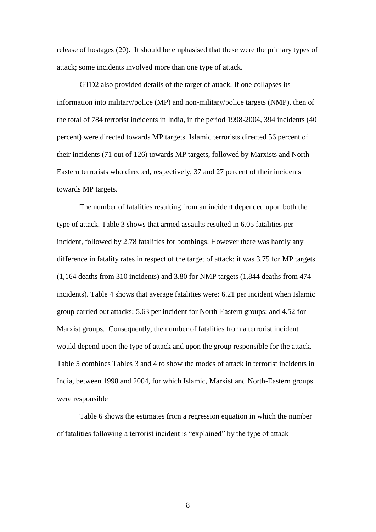release of hostages (20). It should be emphasised that these were the primary types of attack; some incidents involved more than one type of attack.

GTD2 also provided details of the target of attack. If one collapses its information into military/police (MP) and non-military/police targets (NMP), then of the total of 784 terrorist incidents in India, in the period 1998-2004, 394 incidents (40 percent) were directed towards MP targets. Islamic terrorists directed 56 percent of their incidents (71 out of 126) towards MP targets, followed by Marxists and North-Eastern terrorists who directed, respectively, 37 and 27 percent of their incidents towards MP targets.

The number of fatalities resulting from an incident depended upon both the type of attack. Table 3 shows that armed assaults resulted in 6.05 fatalities per incident, followed by 2.78 fatalities for bombings. However there was hardly any difference in fatality rates in respect of the target of attack: it was 3.75 for MP targets (1,164 deaths from 310 incidents) and 3.80 for NMP targets (1,844 deaths from 474 incidents). Table 4 shows that average fatalities were: 6.21 per incident when Islamic group carried out attacks; 5.63 per incident for North-Eastern groups; and 4.52 for Marxist groups. Consequently, the number of fatalities from a terrorist incident would depend upon the type of attack and upon the group responsible for the attack. Table 5 combines Tables 3 and 4 to show the modes of attack in terrorist incidents in India, between 1998 and 2004, for which Islamic, Marxist and North-Eastern groups were responsible

Table 6 shows the estimates from a regression equation in which the number of fatalities following a terrorist incident is "explained" by the type of attack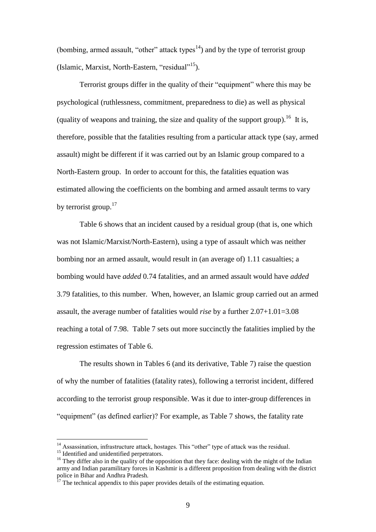(bombing, armed assault, "other" attack types<sup>14</sup>) and by the type of terrorist group (Islamic, Marxist, North-Eastern, "residual"<sup>15</sup>).

Terrorist groups differ in the quality of their "equipment" where this may be psychological (ruthlessness, commitment, preparedness to die) as well as physical (quality of weapons and training, the size and quality of the support group).<sup>16</sup> It is, therefore, possible that the fatalities resulting from a particular attack type (say, armed assault) might be different if it was carried out by an Islamic group compared to a North-Eastern group. In order to account for this, the fatalities equation was estimated allowing the coefficients on the bombing and armed assault terms to vary by terrorist group.<sup>17</sup>

Table 6 shows that an incident caused by a residual group (that is, one which was not Islamic/Marxist/North-Eastern), using a type of assault which was neither bombing nor an armed assault, would result in (an average of) 1.11 casualties; a bombing would have *added* 0.74 fatalities, and an armed assault would have *added* 3.79 fatalities, to this number. When, however, an Islamic group carried out an armed assault, the average number of fatalities would *rise* by a further 2.07+1.01=3.08 reaching a total of 7.98. Table 7 sets out more succinctly the fatalities implied by the regression estimates of Table 6.

The results shown in Tables 6 (and its derivative, Table 7) raise the question of why the number of fatalities (fatality rates), following a terrorist incident, differed according to the terrorist group responsible. Was it due to inter-group differences in "equipment" (as defined earlier)? For example, as Table 7 shows, the fatality rate

<sup>&</sup>lt;sup>14</sup> Assassination, infrastructure attack, hostages. This "other" type of attack was the residual. <sup>15</sup> Identified and unidentified perpetrators.

<sup>&</sup>lt;sup>16</sup> They differ also in the quality of the opposition that they face: dealing with the might of the Indian army and Indian paramilitary forces in Kashmir is a different proposition from dealing with the district police in Bihar and Andhra Pradesh.

 $17$  The technical appendix to this paper provides details of the estimating equation.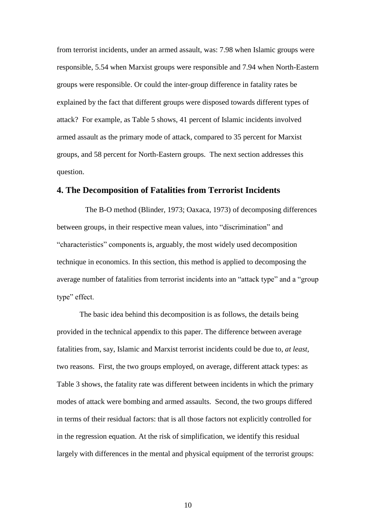from terrorist incidents, under an armed assault, was: 7.98 when Islamic groups were responsible, 5.54 when Marxist groups were responsible and 7.94 when North-Eastern groups were responsible. Or could the inter-group difference in fatality rates be explained by the fact that different groups were disposed towards different types of attack? For example, as Table 5 shows, 41 percent of Islamic incidents involved armed assault as the primary mode of attack, compared to 35 percent for Marxist groups, and 58 percent for North-Eastern groups. The next section addresses this question.

# **4. The Decomposition of Fatalities from Terrorist Incidents**

The B-O method (Blinder, 1973; Oaxaca, 1973) of decomposing differences between groups, in their respective mean values, into "discrimination" and "characteristics" components is, arguably, the most widely used decomposition technique in economics. In this section, this method is applied to decomposing the average number of fatalities from terrorist incidents into an "attack type" and a "group type" effect.

The basic idea behind this decomposition is as follows, the details being provided in the technical appendix to this paper. The difference between average fatalities from, say, Islamic and Marxist terrorist incidents could be due to, *at least*, two reasons. First, the two groups employed, on average, different attack types: as Table 3 shows, the fatality rate was different between incidents in which the primary modes of attack were bombing and armed assaults. Second, the two groups differed in terms of their residual factors: that is all those factors not explicitly controlled for in the regression equation. At the risk of simplification, we identify this residual largely with differences in the mental and physical equipment of the terrorist groups: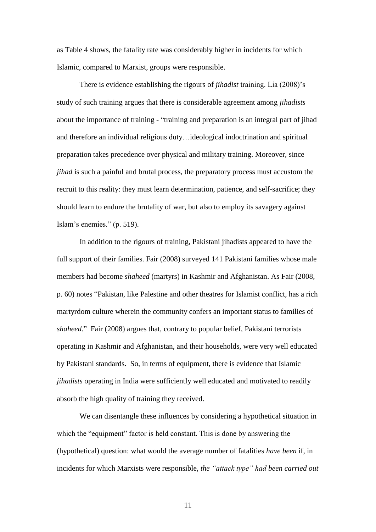as Table 4 shows, the fatality rate was considerably higher in incidents for which Islamic, compared to Marxist, groups were responsible.

There is evidence establishing the rigours of *jihadist* training. Lia (2008)'s study of such training argues that there is considerable agreement among *jihadists* about the importance of training - "training and preparation is an integral part of jihad and therefore an individual religious duty…ideological indoctrination and spiritual preparation takes precedence over physical and military training. Moreover, since *jihad* is such a painful and brutal process, the preparatory process must accustom the recruit to this reality: they must learn determination, patience, and self-sacrifice; they should learn to endure the brutality of war, but also to employ its savagery against Islam's enemies." (p. 519).

In addition to the rigours of training, Pakistani jihadists appeared to have the full support of their families. Fair (2008) surveyed 141 Pakistani families whose male members had become *shaheed* (martyrs) in Kashmir and Afghanistan. As Fair (2008, p. 60) notes "Pakistan, like Palestine and other theatres for Islamist conflict, has a rich martyrdom culture wherein the community confers an important status to families of *shaheed*." Fair (2008) argues that, contrary to popular belief, Pakistani terrorists operating in Kashmir and Afghanistan, and their households, were very well educated by Pakistani standards. So, in terms of equipment, there is evidence that Islamic *jihadists* operating in India were sufficiently well educated and motivated to readily absorb the high quality of training they received.

We can disentangle these influences by considering a hypothetical situation in which the "equipment" factor is held constant. This is done by answering the (hypothetical) question: what would the average number of fatalities *have been* if, in incidents for which Marxists were responsible, *the "attack type" had been carried out*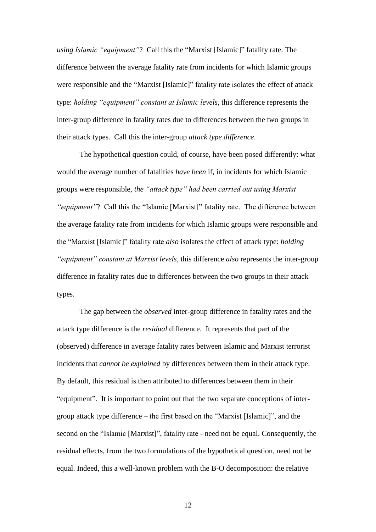*using Islamic "equipment"*? Call this the "Marxist [Islamic]" fatality rate. The difference between the average fatality rate from incidents for which Islamic groups were responsible and the "Marxist [Islamic]" fatality rate isolates the effect of attack type: *holding "equipment" constant at Islamic levels*, this difference represents the inter-group difference in fatality rates due to differences between the two groups in their attack types. Call this the inter-group *attack type difference*.

The hypothetical question could, of course, have been posed differently: what would the average number of fatalities *have been* if, in incidents for which Islamic groups were responsible, *the "attack type" had been carried out using Marxist "equipment"*? Call this the "Islamic [Marxist]" fatality rate. The difference between the average fatality rate from incidents for which Islamic groups were responsible and the "Marxist [Islamic]" fatality rate *also* isolates the effect of attack type: *holding "equipment" constant at Marxist levels*, this difference *also* represents the inter-group difference in fatality rates due to differences between the two groups in their attack types.

The gap between the *observed* inter-group difference in fatality rates and the attack type difference is the *residual* difference. It represents that part of the (observed) difference in average fatality rates between Islamic and Marxist terrorist incidents that *cannot be explained* by differences between them in their attack type. By default, this residual is then attributed to differences between them in their "equipment". It is important to point out that the two separate conceptions of intergroup attack type difference – the first based on the "Marxist [Islamic]", and the second on the "Islamic [Marxist]", fatality rate - need not be equal. Consequently, the residual effects, from the two formulations of the hypothetical question, need not be equal. Indeed, this a well-known problem with the B-O decomposition: the relative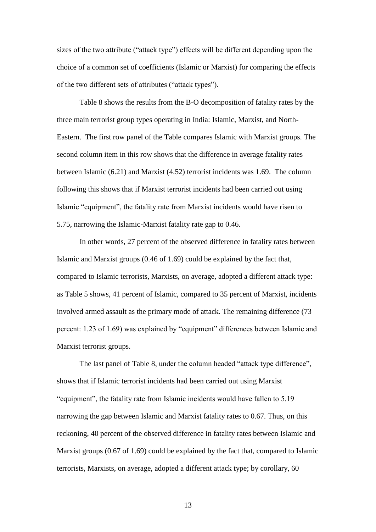sizes of the two attribute ("attack type") effects will be different depending upon the choice of a common set of coefficients (Islamic or Marxist) for comparing the effects of the two different sets of attributes ("attack types").

Table 8 shows the results from the B-O decomposition of fatality rates by the three main terrorist group types operating in India: Islamic, Marxist, and North-Eastern. The first row panel of the Table compares Islamic with Marxist groups. The second column item in this row shows that the difference in average fatality rates between Islamic (6.21) and Marxist (4.52) terrorist incidents was 1.69. The column following this shows that if Marxist terrorist incidents had been carried out using Islamic "equipment", the fatality rate from Marxist incidents would have risen to 5.75, narrowing the Islamic-Marxist fatality rate gap to 0.46.

In other words, 27 percent of the observed difference in fatality rates between Islamic and Marxist groups (0.46 of 1.69) could be explained by the fact that, compared to Islamic terrorists, Marxists, on average, adopted a different attack type: as Table 5 shows, 41 percent of Islamic, compared to 35 percent of Marxist, incidents involved armed assault as the primary mode of attack. The remaining difference (73 percent: 1.23 of 1.69) was explained by "equipment" differences between Islamic and Marxist terrorist groups.

The last panel of Table 8, under the column headed "attack type difference", shows that if Islamic terrorist incidents had been carried out using Marxist "equipment", the fatality rate from Islamic incidents would have fallen to 5.19 narrowing the gap between Islamic and Marxist fatality rates to 0.67. Thus, on this reckoning, 40 percent of the observed difference in fatality rates between Islamic and Marxist groups (0.67 of 1.69) could be explained by the fact that, compared to Islamic terrorists, Marxists, on average, adopted a different attack type; by corollary, 60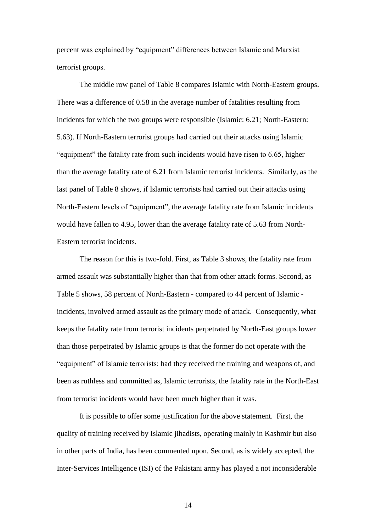percent was explained by "equipment" differences between Islamic and Marxist terrorist groups.

The middle row panel of Table 8 compares Islamic with North-Eastern groups. There was a difference of 0.58 in the average number of fatalities resulting from incidents for which the two groups were responsible (Islamic: 6.21; North-Eastern: 5.63). If North-Eastern terrorist groups had carried out their attacks using Islamic "equipment" the fatality rate from such incidents would have risen to 6.65, higher than the average fatality rate of 6.21 from Islamic terrorist incidents. Similarly, as the last panel of Table 8 shows, if Islamic terrorists had carried out their attacks using North-Eastern levels of "equipment", the average fatality rate from Islamic incidents would have fallen to 4.95, lower than the average fatality rate of 5.63 from North-Eastern terrorist incidents.

The reason for this is two-fold. First, as Table 3 shows, the fatality rate from armed assault was substantially higher than that from other attack forms. Second, as Table 5 shows, 58 percent of North-Eastern - compared to 44 percent of Islamic incidents, involved armed assault as the primary mode of attack. Consequently, what keeps the fatality rate from terrorist incidents perpetrated by North-East groups lower than those perpetrated by Islamic groups is that the former do not operate with the "equipment" of Islamic terrorists: had they received the training and weapons of, and been as ruthless and committed as, Islamic terrorists, the fatality rate in the North-East from terrorist incidents would have been much higher than it was.

It is possible to offer some justification for the above statement. First, the quality of training received by Islamic jihadists, operating mainly in Kashmir but also in other parts of India, has been commented upon. Second, as is widely accepted, the Inter-Services Intelligence (ISI) of the Pakistani army has played a not inconsiderable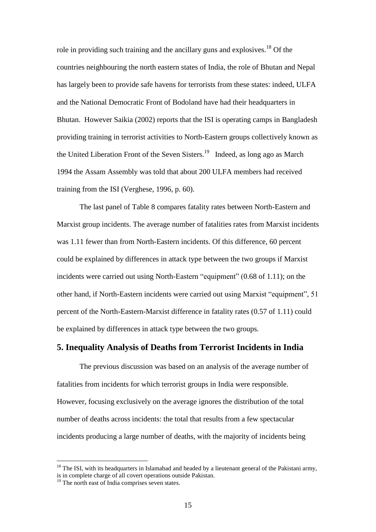role in providing such training and the ancillary guns and explosives.<sup>18</sup> Of the countries neighbouring the north eastern states of India, the role of Bhutan and Nepal has largely been to provide safe havens for terrorists from these states: indeed, ULFA and the National Democratic Front of Bodoland have had their headquarters in Bhutan. However Saikia (2002) reports that the ISI is operating camps in Bangladesh providing training in terrorist activities to North-Eastern groups collectively known as the United Liberation Front of the Seven Sisters.<sup>19</sup> Indeed, as long ago as March 1994 the Assam Assembly was told that about 200 ULFA members had received training from the ISI (Verghese, 1996, p. 60).

The last panel of Table 8 compares fatality rates between North-Eastern and Marxist group incidents. The average number of fatalities rates from Marxist incidents was 1.11 fewer than from North-Eastern incidents. Of this difference, 60 percent could be explained by differences in attack type between the two groups if Marxist incidents were carried out using North-Eastern "equipment" (0.68 of 1.11); on the other hand, if North-Eastern incidents were carried out using Marxist "equipment", 51 percent of the North-Eastern-Marxist difference in fatality rates (0.57 of 1.11) could be explained by differences in attack type between the two groups.

### **5. Inequality Analysis of Deaths from Terrorist Incidents in India**

The previous discussion was based on an analysis of the average number of fatalities from incidents for which terrorist groups in India were responsible. However, focusing exclusively on the average ignores the distribution of the total number of deaths across incidents: the total that results from a few spectacular incidents producing a large number of deaths, with the majority of incidents being

<u>.</u>

 $18$  The ISI, with its headquarters in Islamabad and headed by a lieutenant general of the Pakistani army, is in complete charge of all covert operations outside Pakistan.

 $19$  The north east of India comprises seven states.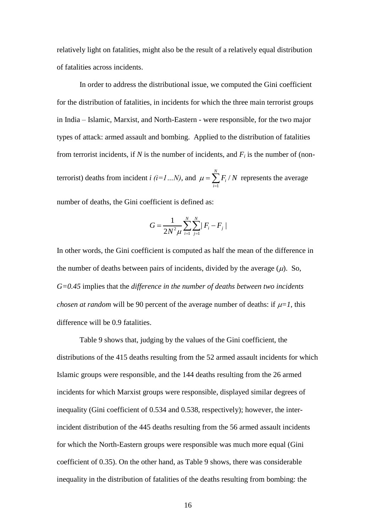relatively light on fatalities, might also be the result of a relatively equal distribution of fatalities across incidents.

In order to address the distributional issue, we computed the Gini coefficient for the distribution of fatalities, in incidents for which the three main terrorist groups in India – Islamic, Marxist, and North-Eastern - were responsible, for the two major types of attack: armed assault and bombing. Applied to the distribution of fatalities from terrorist incidents, if *N* is the number of incidents, and  $F_i$  is the number of (nonterrorist) deaths from incident *i (i=1…N)*, and 1 / *N i i*  $\mu = \sum F_i / N$  $r=\sum_{i=1} F_i/N$  represents the average

number of deaths, the Gini coefficient is defined as:

$$
G = \frac{1}{2N^2\mu} \sum_{i=1}^{N} \sum_{j=1}^{N} |F_i - F_j|
$$

In other words, the Gini coefficient is computed as half the mean of the difference in the number of deaths between pairs of incidents, divided by the average  $(\mu)$ . So, *G=0.45* implies that the *difference in the number of deaths between two incidents chosen at random* will be 90 percent of the average number of deaths: if  $\mu=1$ , this difference will be 0.9 fatalities.

Table 9 shows that, judging by the values of the Gini coefficient, the distributions of the 415 deaths resulting from the 52 armed assault incidents for which Islamic groups were responsible, and the 144 deaths resulting from the 26 armed incidents for which Marxist groups were responsible, displayed similar degrees of inequality (Gini coefficient of 0.534 and 0.538, respectively); however, the interincident distribution of the 445 deaths resulting from the 56 armed assault incidents for which the North-Eastern groups were responsible was much more equal (Gini coefficient of 0.35). On the other hand, as Table 9 shows, there was considerable inequality in the distribution of fatalities of the deaths resulting from bombing: the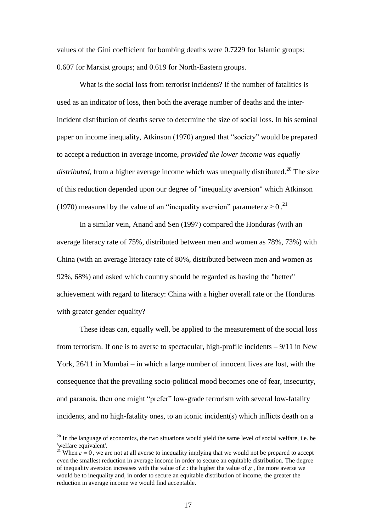values of the Gini coefficient for bombing deaths were 0.7229 for Islamic groups; 0.607 for Marxist groups; and 0.619 for North-Eastern groups.

What is the social loss from terrorist incidents? If the number of fatalities is used as an indicator of loss, then both the average number of deaths and the interincident distribution of deaths serve to determine the size of social loss. In his seminal paper on income inequality, Atkinson (1970) argued that "society" would be prepared to accept a reduction in average income, *provided the lower income was equally distributed*, from a higher average income which was unequally distributed.<sup>20</sup> The size of this reduction depended upon our degree of "inequality aversion" which Atkinson (1970) measured by the value of an "inequality aversion" parameter  $\varepsilon \ge 0$ .<sup>21</sup>

In a similar vein, Anand and Sen (1997) compared the Honduras (with an average literacy rate of 75%, distributed between men and women as 78%, 73%) with China (with an average literacy rate of 80%, distributed between men and women as 92%, 68%) and asked which country should be regarded as having the "better" achievement with regard to literacy: China with a higher overall rate or the Honduras with greater gender equality?

These ideas can, equally well, be applied to the measurement of the social loss from terrorism. If one is to averse to spectacular, high-profile incidents  $-9/11$  in New York, 26/11 in Mumbai – in which a large number of innocent lives are lost, with the consequence that the prevailing socio-political mood becomes one of fear, insecurity, and paranoia, then one might "prefer" low-grade terrorism with several low-fatality incidents, and no high-fatality ones, to an iconic incident(s) which inflicts death on a

<u>.</u>

 $20$  In the language of economics, the two situations would yield the same level of social welfare, i.e. be 'welfare equivalent'.

<sup>&</sup>lt;sup>21</sup> When  $\epsilon = 0$ , we are not at all averse to inequality implying that we would not be prepared to accept even the smallest reduction in average income in order to secure an equitable distribution. The degree of inequality aversion increases with the value of  $\varepsilon$ : the higher the value of  $\varepsilon$ , the more averse we would be to inequality and, in order to secure an equitable distribution of income, the greater the reduction in average income we would find acceptable.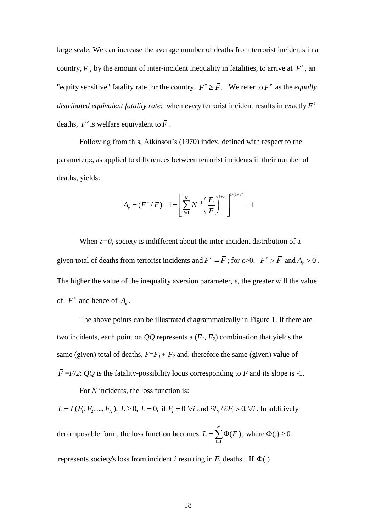large scale. We can increase the average number of deaths from terrorist incidents in a country,  $\overline{F}$ , by the amount of inter-incident inequality in fatalities, to arrive at  $F^e$ , an "equity sensitive" fatality rate for the country,  $F^e \geq \overline{F}$ .. We refer to  $F^e$  as the *equally* distributed equivalent fatality rate: when *every* terrorist incident results in exactly  $F^e$ deaths,  $F^e$  is welfare equivalent to  $\overline{F}$ .

Following from this, Atkinson's (1970) index, defined with respect to the parameter,  $\varepsilon$ , as applied to differences between terrorist incidents in their number of deaths, yields:

$$
A_{\varepsilon} = (F^{\varepsilon}/\overline{F}) - 1 = \left[\sum_{i=1}^{N} N^{-1} \left(\frac{F_i}{\overline{F}}\right)^{1+\varepsilon}\right]^{1/(1+\varepsilon)} - 1
$$

When  $\varepsilon=0$ , society is indifferent about the inter-incident distribution of a given total of deaths from terrorist incidents and  $F^e = \overline{F}$ ; for  $\varepsilon > 0$ ,  $F^e > \overline{F}$  and  $A_\varepsilon > 0$ . The higher the value of the inequality aversion parameter,  $\varepsilon$ , the greater will the value of  $F^e$  and hence of  $A_e$ .

The above points can be illustrated diagrammatically in Figure 1. If there are two incidents, each point on *QQ* represents a (*F1, F2*) combination that yields the same (given) total of deaths,  $F = F_I + F_2$  and, therefore the same (given) value of  $\overline{F}$  =*F/2*: *QQ* is the fatality-possibility locus corresponding to *F* and its slope is -1.

For *N* incidents, the loss function is:

For *N* incidents, the loss function is:<br> $L = L(F_1, F_2, ..., F_N)$ ,  $L \ge 0$ ,  $L = 0$ , if  $F_i = 0 \forall i$  and  $\partial L_i / \partial F_i > 0$ ,  $\forall i$ . In addit . In additively decomposable form, the loss function becomes:  $\sum_{i=1}^{N} \Phi(F_i)$ , where  $\Phi(.) \ge 0$ *i*  $L = \sum_{i=1}^{N} \Phi(F_i)$ , where  $\Phi(.) \ge 0$ represents society's loss from incident *i* resulting in  $F_i$  deaths. If  $\Phi(.)$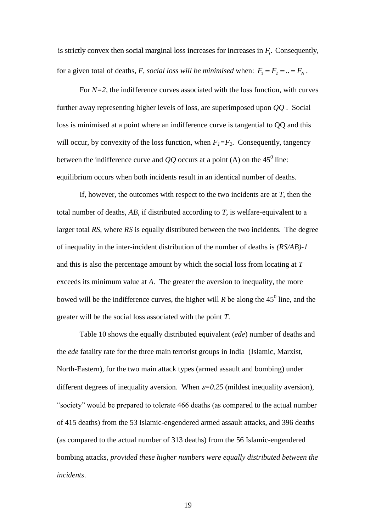is strictly convex then social marginal loss increases for increases in  $F_i$ . Consequently, for a given total of deaths, *F*, *social loss will be minimised* when:  $F_1 = F_2 = ... = F_N$ .

For  $N=2$ , the indifference curves associated with the loss function, with curves further away representing higher levels of loss, are superimposed upon *QQ* . Social loss is minimised at a point where an indifference curve is tangential to QQ and this will occur, by convexity of the loss function, when  $F_1 = F_2$ . Consequently, tangency between the indifference curve and  $QQ$  occurs at a point (A) on the 45<sup>0</sup> line: equilibrium occurs when both incidents result in an identical number of deaths.

If, however, the outcomes with respect to the two incidents are at *T*, then the total number of deaths, *AB,* if distributed according to *T*, is welfare-equivalent to a larger total *RS*, where *RS* is equally distributed between the two incidents. The degree of inequality in the inter-incident distribution of the number of deaths is *(RS/AB)-1* and this is also the percentage amount by which the social loss from locating at *T* exceeds its minimum value at *A*. The greater the aversion to inequality, the more bowed will be the indifference curves, the higher will  $R$  be along the  $45^0$  line, and the greater will be the social loss associated with the point *T*.

is strictly convex then social marginal loss increases for increases in  $F_i$ .<br>
for a given total of deaths,  $F_i$  social loss will be minimised when:  $F_i =$ <br>
For  $N^2$  2, the indifference curves ussociated with the loss fun Table 10 shows the equally distributed equivalent (*ede*) number of deaths and the *ede* fatality rate for the three main terrorist groups in India (Islamic, Marxist, North-Eastern), for the two main attack types (armed assault and bombing) under different degrees of inequality aversion. When  $\varepsilon$ =0.25 (mildest inequality aversion), "society" would be prepared to tolerate 466 deaths (as compared to the actual number of 415 deaths) from the 53 Islamic-engendered armed assault attacks, and 396 deaths (as compared to the actual number of 313 deaths) from the 56 Islamic-engendered bombing attacks, *provided these higher numbers were equally distributed between the incidents*.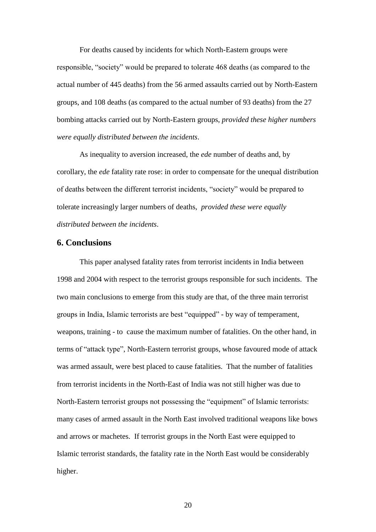For deaths caused by incidents for which North-Eastern groups were responsible, "society" would be prepared to tolerate 468 deaths (as compared to the actual number of 445 deaths) from the 56 armed assaults carried out by North-Eastern groups, and 108 deaths (as compared to the actual number of 93 deaths) from the 27 bombing attacks carried out by North-Eastern groups, *provided these higher numbers were equally distributed between the incidents*.

As inequality to aversion increased, the *ede* number of deaths and, by corollary, the *ede* fatality rate rose: in order to compensate for the unequal distribution of deaths between the different terrorist incidents, "society" would be prepared to tolerate increasingly larger numbers of deaths, *provided these were equally distributed between the incidents*.

# **6. Conclusions**

This paper analysed fatality rates from terrorist incidents in India between 1998 and 2004 with respect to the terrorist groups responsible for such incidents. The two main conclusions to emerge from this study are that, of the three main terrorist groups in India, Islamic terrorists are best "equipped" - by way of temperament, weapons, training - to cause the maximum number of fatalities. On the other hand, in terms of "attack type", North-Eastern terrorist groups, whose favoured mode of attack was armed assault, were best placed to cause fatalities. That the number of fatalities from terrorist incidents in the North-East of India was not still higher was due to North-Eastern terrorist groups not possessing the "equipment" of Islamic terrorists: many cases of armed assault in the North East involved traditional weapons like bows and arrows or machetes. If terrorist groups in the North East were equipped to Islamic terrorist standards, the fatality rate in the North East would be considerably higher.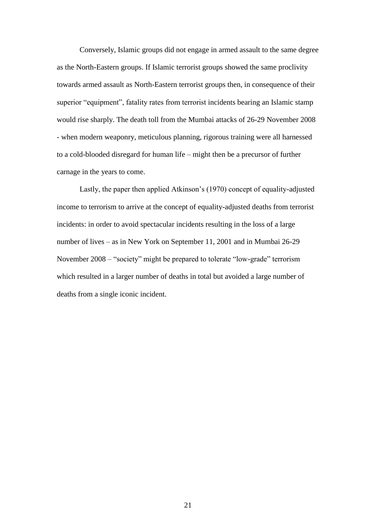Conversely, Islamic groups did not engage in armed assault to the same degree as the North-Eastern groups. If Islamic terrorist groups showed the same proclivity towards armed assault as North-Eastern terrorist groups then, in consequence of their superior "equipment", fatality rates from terrorist incidents bearing an Islamic stamp would rise sharply. The death toll from the Mumbai attacks of 26-29 November 2008 - when modern weaponry, meticulous planning, rigorous training were all harnessed to a cold-blooded disregard for human life – might then be a precursor of further carnage in the years to come.

Lastly, the paper then applied Atkinson's (1970) concept of equality-adjusted income to terrorism to arrive at the concept of equality-adjusted deaths from terrorist incidents: in order to avoid spectacular incidents resulting in the loss of a large number of lives – as in New York on September 11, 2001 and in Mumbai 26-29 November 2008 – "society" might be prepared to tolerate "low-grade" terrorism which resulted in a larger number of deaths in total but avoided a large number of deaths from a single iconic incident.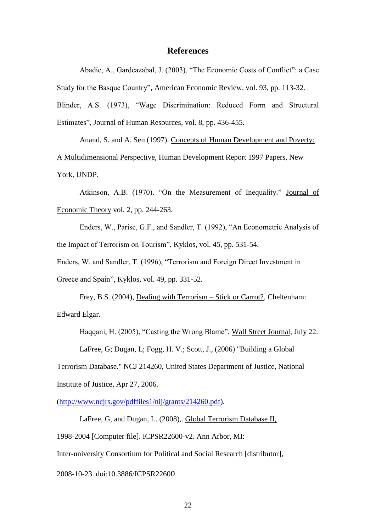### **References**

Abadie, A., Gardeazabal, J. (2003), "The Economic Costs of Conflict": a Case Study for the Basque Country", American Economic Review, vol. 93, pp. 113-32. Blinder, A.S. (1973), "Wage Discrimination: Reduced Form and Structural Estimates", Journal of Human Resources, vol. 8, pp. 436-455.

Anand, S. and A. Sen (1997). Concepts of Human Development and Poverty: A Multidimensional Perspective, Human Development Report 1997 Papers, New York, UNDP.

Atkinson, A.B. (1970). "On the Measurement of Inequality." Journal of Economic Theory vol. 2, pp. 244-263.

Enders, W., Parise, G.F., and Sandler, T. (1992), "An Econometric Analysis of the Impact of Terrorism on Tourism", Kyklos, vol. 45, pp. 531-54.

Enders, W. and Sandler, T. (1996), "Terrorism and Foreign Direct Investment in Greece and Spain", Kyklos, vol. 49, pp. 331-52.

Frey, B.S. (2004), Dealing with Terrorism – Stick or Carrot?, Cheltenham: Edward Elgar.

Haqqani, H. (2005), "Casting the Wrong Blame", Wall Street Journal, July 22.

LaFree, G; Dugan, L; Fogg, H. V.; Scott, J., (2006) "Building a Global

Terrorism Database." NCJ 214260, United States Department of Justice, National Institute of Justice, Apr 27, 2006.

[\(http://www.ncjrs.gov/pdffiles1/nij/grants/214260.pdf\)](http://www.ncjrs.gov/pdffiles1/nij/grants/214260.pdf).

LaFree, G, and Dugan, L. (2008),. Global Terrorism Database II,

1998-2004 [Computer file]. ICPSR22600-v2. Ann Arbor, MI:

Inter-university Consortium for Political and Social Research [distributor],

2008-10-23. doi:10.3886/ICPSR22600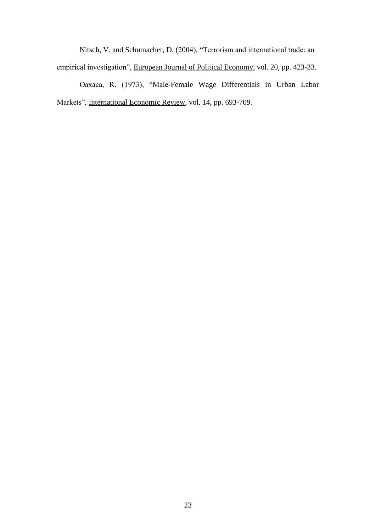Nitsch, V. and Schumacher, D. (2004), "Terrorism and international trade: an empirical investigation", European Journal of Political Economy, vol. 20, pp. 423-33.

Oaxaca, R. (1973), "Male-Female Wage Differentials in Urban Labor Markets", International Economic Review, vol. 14, pp. 693-709.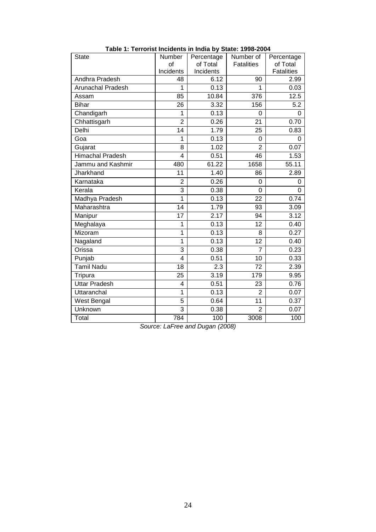| <b>State</b>             | Number         | Percentage | Number of         | Percentage        |
|--------------------------|----------------|------------|-------------------|-------------------|
|                          | of             | of Total   | <b>Fatalities</b> | of Total          |
|                          | Incidents      | Incidents  |                   | <b>Fatalities</b> |
| Andhra Pradesh           | 48             | 6.12       | 90                | 2.99              |
| <b>Arunachal Pradesh</b> | 1              | 0.13       | 1                 | 0.03              |
| Assam                    | 85             | 10.84      | 376               | 12.5              |
| <b>Bihar</b>             | 26             | 3.32       | 156               | 5.2               |
| Chandigarh               | 1              | 0.13       | $\Omega$          | 0                 |
| Chhattisgarh             | $\overline{2}$ | 0.26       | 21                | 0.70              |
| Delhi                    | 14             | 1.79       | 25                | 0.83              |
| Goa                      | 1              | 0.13       | 0                 | 0                 |
| Gujarat                  | 8              | 1.02       | $\overline{2}$    | 0.07              |
| Himachal Pradesh         | 4              | 0.51       | 46                | 1.53              |
| Jammu and Kashmir        | 480            | 61.22      | 1658              | 55.11             |
| Jharkhand                | 11             | 1.40       | 86                | 2.89              |
| Karnataka                | $\overline{2}$ | 0.26       | 0                 | 0                 |
| Kerala                   | 3              | 0.38       | $\mathbf 0$       | $\Omega$          |
| Madhya Pradesh           | 1              | 0.13       | 22                | 0.74              |
| Maharashtra              | 14             | 1.79       | 93                | 3.09              |
| Manipur                  | 17             | 2.17       | 94                | 3.12              |
| Meghalaya                | 1              | 0.13       | 12                | 0.40              |
| Mizoram                  | 1              | 0.13       | 8                 | 0.27              |
| Nagaland                 | 1              | 0.13       | 12                | 0.40              |
| Orissa                   | 3              | 0.38       | $\overline{7}$    | 0.23              |
| Punjab                   | 4              | 0.51       | 10                | 0.33              |
| Tamil Nadu               | 18             | 2.3        | 72                | 2.39              |
| Tripura                  | 25             | 3.19       | 179               | 9.95              |
| <b>Uttar Pradesh</b>     | 4              | 0.51       | 23                | 0.76              |
| Uttaranchal              | 1              | 0.13       | $\overline{2}$    | 0.07              |
| West Bengal              | 5              | 0.64       | 11                | 0.37              |
| Unknown                  | 3              | 0.38       | $\overline{2}$    | 0.07              |
| Total                    | 784            | 100        | 3008              | 100               |

**Table 1: Terrorist Incidents in India by State: 1998-2004**

*Source: LaFree and Dugan (2008)*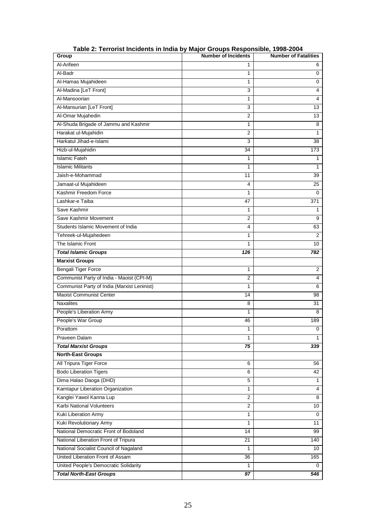| Group                                       | <b>Number of Incidents</b> | <b>Number of Fatalities</b> |
|---------------------------------------------|----------------------------|-----------------------------|
| Al-Arifeen                                  | 1                          | 6                           |
| Al-Badr                                     | 1                          | $\mathbf 0$                 |
| Al-Hamas Mujahideen                         | $\mathbf{1}$               | $\mathbf 0$                 |
| Al-Madina [LeT Front]                       | 3                          | 4                           |
| Al-Mansoorian                               | $\mathbf{1}$               | 4                           |
| Al-Mansurian [LeT Front]                    | $\overline{3}$             | 13                          |
| Al-Omar Mujahedin                           | $\overline{2}$             | 13                          |
| Al-Shuda Brigade of Jammu and Kashmir       | 1                          | 8                           |
| Harakat ul-Mujahidin                        | $\overline{2}$             | $\mathbf{1}$                |
| Harkatul Jihad-e-Islami                     | 3                          | 38                          |
| Hizb-ul-Mujahidin                           | 34                         | 173                         |
| <b>Islamic Fateh</b>                        | 1                          | 1                           |
| <b>Islamic Militants</b>                    | 1                          | $\mathbf{1}$                |
| Jaish-e-Mohammad                            | 11                         | 39                          |
| Jamaat-ul Mujahideen                        | 4                          | 25                          |
| Kashmir Freedom Force                       | 1                          | $\mathbf 0$                 |
| Lashkar-e Taiba                             | 47                         | 371                         |
| Save Kashmir                                | 1                          | 1                           |
| Save Kashmir Movement                       | $\overline{2}$             | 9                           |
| Students Islamic Movement of India          | 4                          | 63                          |
| Tehreek-ul-Mujahedeen                       | $\mathbf{1}$               | 2                           |
| The Islamic Front                           | 1                          | 10                          |
| <b>Total Islamic Groups</b>                 | 126                        | 782                         |
| <b>Marxist Groups</b>                       |                            |                             |
| <b>Bengali Tiger Force</b>                  | $\mathbf{1}$               | $\overline{2}$              |
| Communist Party of India - Maoist (CPI-M)   | $\overline{2}$             | 4                           |
| Communist Party of India (Marxist Leninist) | 1                          | 6                           |
| <b>Maoist Communist Center</b>              | 14                         | 98                          |
| <b>Naxalites</b>                            | 8                          | 31                          |
| People's Liberation Army                    | 1                          | 8                           |
| People's War Group                          | 46                         | 189                         |
| Porattom                                    | 1                          | 0                           |
| Praveen Dalam                               | 1                          | 1                           |
| <b>Total Marxist Groups</b>                 | 75                         | 339                         |
| <b>North-East Groups</b>                    |                            |                             |
| All Tripura Tiger Force                     | 6                          | 56                          |
| <b>Bodo Liberation Tigers</b>               | 6                          | 42                          |
| Dima Halao Daoga (DHD)                      | 5                          | 1                           |
| Kamtapur Liberation Organization            | 1                          | 4                           |
| Kanglei Yawol Kanna Lup                     | 2                          | 8                           |
| Karbi National Volunteers                   | $\overline{2}$             | 10                          |
| Kuki Liberation Army                        | 1                          | 0                           |
| Kuki Revolutionary Army                     | $\mathbf{1}$               | 11                          |
| National Democratic Front of Bodoland       | 14                         | 99                          |
| National Liberation Front of Tripura        | 21                         | 140                         |
| National Socialist Council of Nagaland      | 1                          | 10                          |
| United Liberation Front of Assam            | 36                         | 165                         |
| United People's Democratic Solidarity       | 1                          | 0                           |
| <b>Total North-East Groups</b>              | 97                         | 546                         |

**Table 2: Terrorist Incidents in India by Major Groups Responsible, 1998-2004**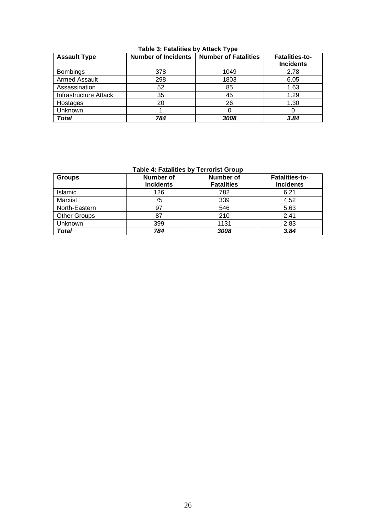| <b>Assault Type</b>   | <b>Number of Incidents</b> | <b>Number of Fatalities</b> | <b>Fatalities-to-</b><br><b>Incidents</b> |
|-----------------------|----------------------------|-----------------------------|-------------------------------------------|
| <b>Bombings</b>       | 378                        | 1049                        | 2.78                                      |
| <b>Armed Assault</b>  | 298                        | 1803                        | 6.05                                      |
| Assassination         | 52                         | 85                          | 1.63                                      |
| Infrastructure Attack | 35                         | 45                          | 1.29                                      |
| Hostages              | 20                         | 26                          | 1.30                                      |
| Unknown               |                            |                             |                                           |
| Total                 | 784                        | 3008                        | 3.84                                      |

**Table 3: Fatalities by Attack Type**

**Table 4: Fatalities by Terrorist Group**

| <b>Groups</b>       | <b>Number of</b><br><b>Incidents</b> | <b>Number of</b><br><b>Fatalities</b> | <b>Fatalities-to-</b><br><b>Incidents</b> |
|---------------------|--------------------------------------|---------------------------------------|-------------------------------------------|
| Islamic             | 126                                  | 782                                   | 6.21                                      |
| Marxist             | 75                                   | 339                                   | 4.52                                      |
| North-Eastern       | 97                                   | 546                                   | 5.63                                      |
| <b>Other Groups</b> | 87                                   | 210                                   | 2.41                                      |
| Unknown             | 399                                  | 1131                                  | 2.83                                      |
| Total               | 784                                  | 3008                                  | 3.84                                      |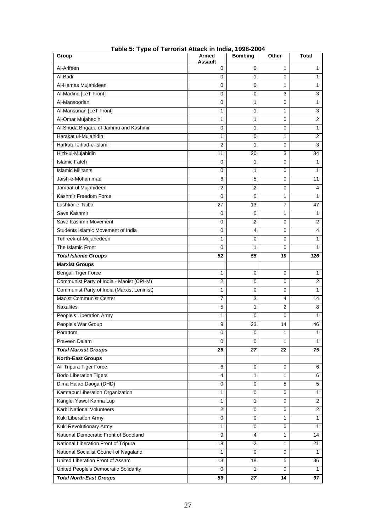| Group                                       | Armed<br>Assault | <b>Bombing</b> | Other          | Total          |
|---------------------------------------------|------------------|----------------|----------------|----------------|
| Al-Arifeen                                  | 0                | $\Omega$       | 1              | 1              |
| Al-Badr                                     | 0                | 1              | 0              | $\mathbf{1}$   |
| Al-Hamas Mujahideen                         | 0                | $\Omega$       | 1              | 1              |
| Al-Madina [LeT Front]                       | 0                | $\Omega$       | 3              | $\overline{3}$ |
| Al-Mansoorian                               | 0                | 1              | 0              | 1              |
| Al-Mansurian [LeT Front]                    | 1                | 1              | 1              | 3              |
| Al-Omar Mujahedin                           | 1                | 1              | 0              | $\overline{2}$ |
| Al-Shuda Brigade of Jammu and Kashmir       | 0                | 1              | 0              | $\mathbf{1}$   |
| Harakat ul-Mujahidin                        | 1                | $\mathbf 0$    | 1              | $\overline{2}$ |
| Harkatul Jihad-e-Islami                     | $\overline{2}$   | 1              | 0              | $\overline{3}$ |
| Hizb-ul-Mujahidin                           | 11               | 20             | 3              | 34             |
| <b>Islamic Fateh</b>                        | 0                | 1              | 0              | 1              |
| <b>Islamic Militants</b>                    | 0                | 1              | 0              | 1              |
| Jaish-e-Mohammad                            | 6                | 5              | 0              | 11             |
| Jamaat-ul Mujahideen                        | $\overline{2}$   | $\overline{2}$ | 0              | 4              |
| Kashmir Freedom Force                       | 0                | $\Omega$       | 1              | $\mathbf{1}$   |
| Lashkar-e Taiba                             | 27               | 13             | $\overline{7}$ | 47             |
| Save Kashmir                                | 0                | 0              | 1              | 1              |
| Save Kashmir Movement                       | 0                | $\overline{2}$ | 0              | $\overline{2}$ |
| Students Islamic Movement of India          | 0                | 4              | 0              | 4              |
| Tehreek-ul-Mujahedeen                       | 1                | $\Omega$       | 0              | 1              |
| The Islamic Front                           | 0                | 1              | 0              | 1              |
| <b>Total Islamic Groups</b>                 | 52               | 55             | 19             | 126            |
| <b>Marxist Groups</b>                       |                  |                |                |                |
| Bengali Tiger Force                         | 1                | 0              | $\mathbf 0$    | 1              |
| Communist Party of India - Maoist (CPI-M)   | 2                | 0              | 0              | $\overline{2}$ |
| Communist Party of India (Marxist Leninist) | $\mathbf{1}$     | $\Omega$       | 0              | 1              |
| <b>Maoist Communist Center</b>              | 7                | 3              | 4              | 14             |
| <b>Naxalites</b>                            | 5                | 1              | $\overline{2}$ | 8              |
| People's Liberation Army                    | 1                | 0              | 0              | 1              |
| People's War Group                          | 9                | 23             | 14             | 46             |
| Porattom                                    | 0                | $\mathbf 0$    | 1              | 1              |
| Praveen Dalam                               | 0                | $\mathbf 0$    | $\mathbf{1}$   | 1              |
| <b>Total Marxist Groups</b>                 | 26               | 27             | 22             | 75             |
| <b>North-East Groups</b>                    |                  |                |                |                |
| All Tripura Tiger Force                     | 6                | 0              | 0              | 6              |
| <b>Bodo Liberation Tigers</b>               | 4                | 1              | 1              | 6              |
| Dima Halao Daoga (DHD)                      | 0                | 0              | 5              | 5              |
| Kamtapur Liberation Organization            | 1                | 0              | 0              | $\mathbf{1}$   |
| Kanglei Yawol Kanna Lup                     | $\mathbf{1}$     | $\mathbf{1}$   | 0              | $\overline{2}$ |
| Karbi National Volunteers                   | $\overline{2}$   | 0              | $\mathbf 0$    | $\overline{2}$ |
| Kuki Liberation Army                        | 0                | 0              | 1              | 1              |
| Kuki Revolutionary Army                     | $\mathbf{1}$     | 0              | 0              | $\mathbf{1}$   |
| National Democratic Front of Bodoland       | 9                | 4              | 1              | 14             |
| National Liberation Front of Tripura        | 18               | $\overline{2}$ | 1              | 21             |
| National Socialist Council of Nagaland      | 1                | $\Omega$       | 0              | 1              |
| United Liberation Front of Assam            | 13               | 18             | 5              | 36             |
| United People's Democratic Solidarity       | 0                | $\mathbf{1}$   | 0              | $\mathbf{1}$   |
| <b>Total North-East Groups</b>              | 56               | 27             | 14             | 97             |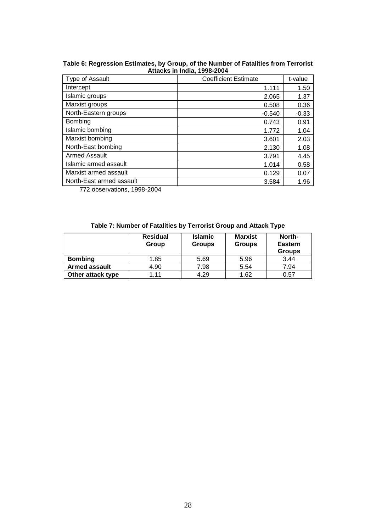|                          | Allacho III IIIula, 1990-2007 |         |
|--------------------------|-------------------------------|---------|
| Type of Assault          | <b>Coefficient Estimate</b>   | t-value |
| Intercept                | 1.111                         | 1.50    |
| Islamic groups           | 2.065                         | 1.37    |
| Marxist groups           | 0.508                         | 0.36    |
| North-Eastern groups     | $-0.540$                      | $-0.33$ |
| <b>Bombing</b>           | 0.743                         | 0.91    |
| Islamic bombing          | 1.772                         | 1.04    |
| Marxist bombing          | 3.601                         | 2.03    |
| North-East bombing       | 2.130                         | 1.08    |
| <b>Armed Assault</b>     | 3.791                         | 4.45    |
| Islamic armed assault    | 1.014                         | 0.58    |
| Marxist armed assault    | 0.129                         | 0.07    |
| North-East armed assault | 3.584                         | 1.96    |

**Table 6: Regression Estimates, by Group, of the Number of Fatalities from Terrorist Attacks in India, 1998-2004**

772 observations, 1998-2004

|  |  | Table 7: Number of Fatalities by Terrorist Group and Attack Type |
|--|--|------------------------------------------------------------------|
|  |  |                                                                  |

|                      | <b>Residual</b><br>Group | <b>Islamic</b><br><b>Groups</b> | <b>Marxist</b><br><b>Groups</b> | North-<br><b>Eastern</b><br><b>Groups</b> |
|----------------------|--------------------------|---------------------------------|---------------------------------|-------------------------------------------|
| <b>Bombing</b>       | 1.85                     | 5.69                            | 5.96                            | 3.44                                      |
| <b>Armed assault</b> | 4.90                     | 7.98                            | 5.54                            | 7.94                                      |
| Other attack type    | 1 1 1                    | 4.29                            | 1.62                            | 0.57                                      |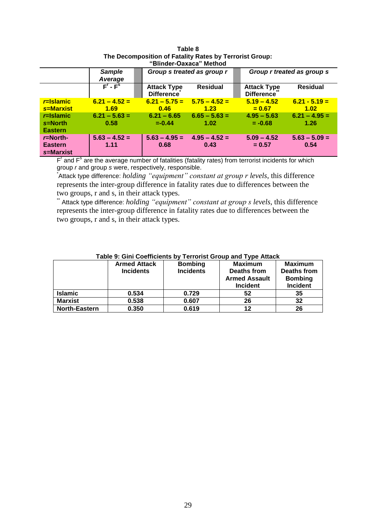| DIIIUU "VAXALA<br>- IVIELIJUU                                            |                                                    |                                                      |                                                    |  |                                                         |                                                    |  |
|--------------------------------------------------------------------------|----------------------------------------------------|------------------------------------------------------|----------------------------------------------------|--|---------------------------------------------------------|----------------------------------------------------|--|
|                                                                          | <b>Sample</b><br>Average                           | Group s treated as group r                           |                                                    |  | Group r treated as group s                              |                                                    |  |
|                                                                          | $F - Fs$                                           | <b>Attack Type</b><br><b>Difference</b>              | <b>Residual</b>                                    |  | <b>Attack Type</b><br><b>Difference</b>                 | <b>Residual</b>                                    |  |
| $r =$ Islamic<br>s=Marxist<br>$r =$ Islamic<br>s=North<br><b>Eastern</b> | $6.21 - 4.52 =$<br>1.69<br>$6.21 - 5.63 =$<br>0.58 | $6.21 - 5.75 =$<br>0.46<br>$6.21 - 6.65$<br>$=-0.44$ | $5.75 - 4.52 =$<br>1.23<br>$6.65 - 5.63 =$<br>1.02 |  | $5.19 - 4.52$<br>$= 0.67$<br>$4.95 - 5.63$<br>$= -0.68$ | $6.21 - 5.19 =$<br>1.02<br>$6.21 - 4.95 =$<br>1.26 |  |
| $r =$ North-<br><b>Eastern</b><br>s=Marxist                              | $5.63 - 4.52 =$<br>1.11                            | $5.63 - 4.95 =$<br>0.68                              | $4.95 - 4.52 =$<br>0.43                            |  | $5.09 - 4.52$<br>$= 0.57$                               | $5.63 - 5.09 =$<br>0.54                            |  |

#### **Table 8 The Decomposition of Fatality Rates by Terrorist Group: "Blinder-Oaxaca" Method**

F<sup>'</sup> and F<sup>s</sup> are the average number of fatalities (fatality rates) from terrorist incidents for which group *r* and group *s* were, respectively, responsible.

\* Attack type difference: *holding "equipment" constant at group r levels*, this difference represents the inter-group difference in fatality rates due to differences between the two groups, r and s, in their attack types.

\*\* Attack type difference: *holding "equipment" constant at group s levels*, this difference represents the inter-group difference in fatality rates due to differences between the two groups, r and s, in their attack types.

|                      | <b>Armed Attack</b><br><b>Incidents</b> | <b>Bombing</b><br><b>Incidents</b> | <b>Maximum</b><br>Deaths from<br><b>Armed Assault</b><br><b>Incident</b> | <b>Maximum</b><br>Deaths from<br><b>Bombing</b><br><b>Incident</b> |
|----------------------|-----------------------------------------|------------------------------------|--------------------------------------------------------------------------|--------------------------------------------------------------------|
| <b>Islamic</b>       | 0.534                                   | 0.729                              | 52                                                                       | 35                                                                 |
| <b>Marxist</b>       | 0.538                                   | 0.607                              | 26                                                                       | 32                                                                 |
| <b>North-Eastern</b> | 0.350                                   | 0.619                              | 12                                                                       | 26                                                                 |

### **Table 9: Gini Coefficients by Terrorist Group and Type Attack**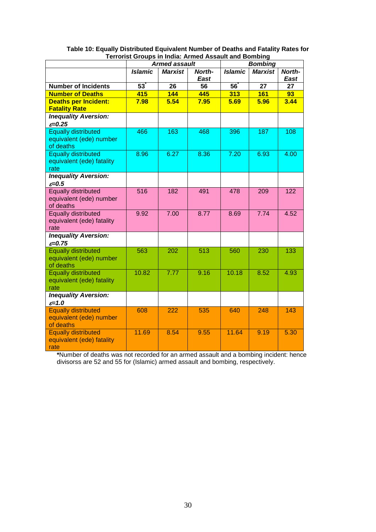|                                                                    | oo. Oroupo in inuiu. Annou Aoouun unu Domonig<br><b>Armed assault</b> |                |                |                | <b>Bombing</b>  |                |
|--------------------------------------------------------------------|-----------------------------------------------------------------------|----------------|----------------|----------------|-----------------|----------------|
|                                                                    | <b>Islamic</b>                                                        | <b>Marxist</b> | North-<br>East | <b>Islamic</b> | <b>Marxist</b>  | North-<br>East |
| <b>Number of Incidents</b>                                         | 53                                                                    | 26             | 56             | 56             | $\overline{27}$ | 27             |
| <b>Number of Deaths</b>                                            | 415                                                                   | 144            | 445            | 313            | <b>161</b>      | 93             |
| <b>Deaths per Incident:</b><br><b>Fatality Rate</b>                | 7.98                                                                  | 5.54           | 7.95           | 5.69           | 5.96            | 3.44           |
| <b>Inequality Aversion:</b><br>$\varepsilon = 0.25$                |                                                                       |                |                |                |                 |                |
| <b>Equally distributed</b><br>equivalent (ede) number<br>of deaths | 466                                                                   | 163            | 468            | 396            | 187             | 108            |
| <b>Equally distributed</b><br>equivalent (ede) fatality<br>rate    | 8.96                                                                  | 6.27           | 8.36           | 7.20           | 6.93            | 4.00           |
| <b>Inequality Aversion:</b><br>$\varepsilon = 0.5$                 |                                                                       |                |                |                |                 |                |
| <b>Equally distributed</b><br>equivalent (ede) number<br>of deaths | 516                                                                   | 182            | 491            | 478            | 209             | 122            |
| <b>Equally distributed</b><br>equivalent (ede) fatality<br>rate    | 9.92                                                                  | 7.00           | 8.77           | 8.69           | 7.74            | 4.52           |
| <b>Inequality Aversion:</b><br>$\varepsilon = 0.75$                |                                                                       |                |                |                |                 |                |
| <b>Equally distributed</b><br>equivalent (ede) number<br>of deaths | 563                                                                   | 202            | 513            | 560            | 230             | 133            |
| <b>Equally distributed</b><br>equivalent (ede) fatality<br>rate    | 10.82                                                                 | 7.77           | 9.16           | 10.18          | 8.52            | 4.93           |
| <b>Inequality Aversion:</b><br>$\varepsilon = 1.0$                 |                                                                       |                |                |                |                 |                |
| <b>Equally distributed</b><br>equivalent (ede) number<br>of deaths | 608                                                                   | 222            | 535            | 640            | 248             | 143            |
| <b>Equally distributed</b><br>equivalent (ede) fatality<br>rate    | 11.69                                                                 | 8.54           | 9.55           | 11.64          | 9.19            | 5.30           |

| Table 10: Equally Distributed Equivalent Number of Deaths and Fatality Rates for |
|----------------------------------------------------------------------------------|
| <b>Terrorist Groups in India: Armed Assault and Bombing</b>                      |

**\***Number of deaths was not recorded for an armed assault and a bombing incident: hence divisorss are 52 and 55 for (Islamic) armed assault and bombing, respectively.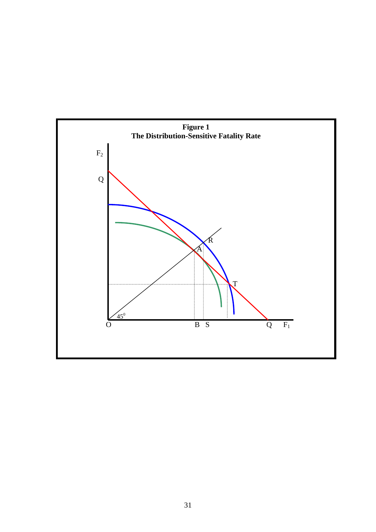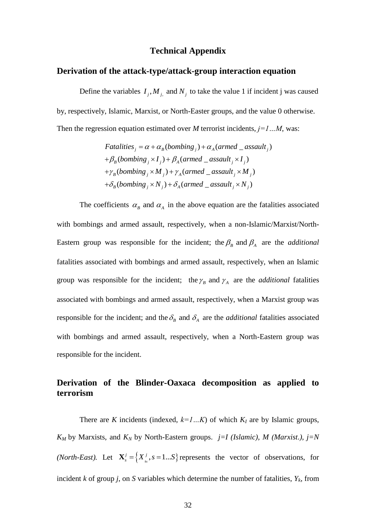### **Technical Appendix**

### **Derivation of the attack-type/attack-group interaction equation**

Define the variables  $I_j$ ,  $M_j$ , and  $N_j$  to take the value 1 if incident j was caused by, respectively, Islamic, Marxist, or North-Easter groups, and the value 0 otherwise.

Then the regression equation estimated over *M* terrorist incidents, 
$$
j=1...M
$$
, was:  
\n*Fatalities*<sub>j</sub> =  $\alpha + \alpha_B$ (*bombing*<sub>j</sub>) +  $\alpha_A$ (*armed* \_*assault*<sub>j</sub>)  
\n+ $\beta_B$ (*bombing*<sub>j</sub> ×  $I_j$ ) +  $\beta_A$ (*armed* \_*assault*<sub>j</sub> ×  $I_j$ )  
\n+ $\gamma_B$ (*bombing*<sub>j</sub> ×  $M_j$ ) +  $\gamma_A$ (*armed* \_*assault*<sub>j</sub> ×  $M_j$ )  
\n+ $\delta_B$ (*bombing*<sub>j</sub> ×  $N_j$ ) +  $\delta_A$ (*armed* \_*assault*<sub>j</sub> ×  $N_j$ )

The coefficients  $\alpha_{\beta}$  and  $\alpha_{\beta}$  in the above equation are the fatalities associated with bombings and armed assault, respectively, when a non-Islamic/Marxist/North-Eastern group was responsible for the incident; the  $\beta_B$  and  $\beta_A$  are the *additional* fatalities associated with bombings and armed assault, respectively, when an Islamic group was responsible for the incident; the  $\gamma_B$  and  $\gamma_A$  are the *additional* fatalities associated with bombings and armed assault, respectively, when a Marxist group was responsible for the incident; and the  $\delta_B$  and  $\delta_A$  are the *additional* fatalities associated with bombings and armed assault, respectively, when a North-Eastern group was responsible for the incident.

# **Derivation of the Blinder-Oaxaca decomposition as applied to terrorism**

There are *K* incidents (indexed,  $k=1...K$ ) of which  $K_I$  are by Islamic groups,  $K_M$  by Marxists, and  $K_N$  by North-Eastern groups. *j*=*I* (*Islamic*), *M* (*Marxist*.), *j*=*N (North-East).* Let  $\mathbf{X}_{s}^{j} = \left\{ X_{s}^{j}, s = 1...S \right\}$  represents the vector of observations, for incident *k* of group *j*, on *S* variables which determine the number of fatalities,  $Y_k$ , from